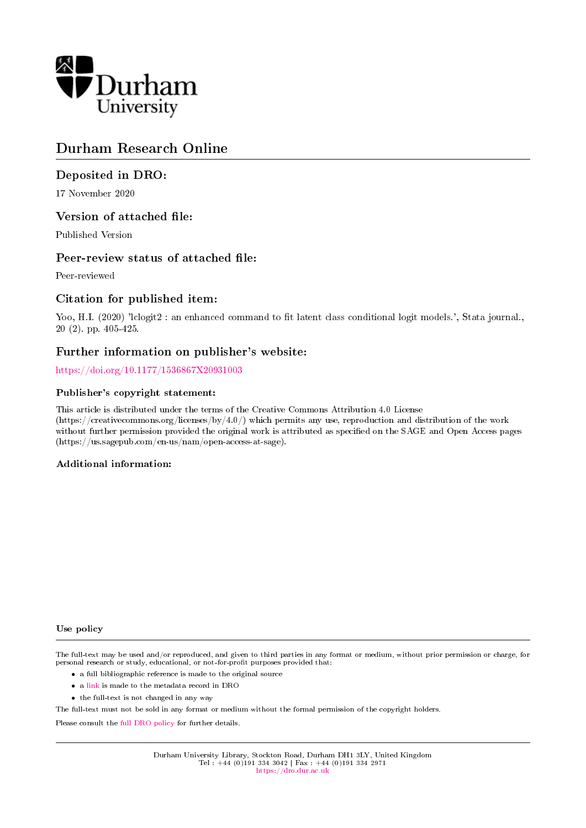

# Durham Research Online

#### Deposited in DRO:

17 November 2020

#### Version of attached file:

Published Version

#### Peer-review status of attached file:

Peer-reviewed

#### Citation for published item:

Yoo, H.I. (2020) 'lclogit2 : an enhanced command to fit latent class conditional logit models.', Stata journal., 20 (2). pp. 405-425.

#### Further information on publisher's website:

<https://doi.org/10.1177/1536867X20931003>

#### Publisher's copyright statement:

This article is distributed under the terms of the Creative Commons Attribution 4.0 License (https://creativecommons.org/licenses/by/4.0/) which permits any use, reproduction and distribution of the work without further permission provided the original work is attributed as specified on the SAGE and Open Access pages (https://us.sagepub.com/en-us/nam/open-access-at-sage).

#### Additional information:

#### Use policy

The full-text may be used and/or reproduced, and given to third parties in any format or medium, without prior permission or charge, for personal research or study, educational, or not-for-profit purposes provided that:

- a full bibliographic reference is made to the original source
- a [link](http://dro.dur.ac.uk/29867/) is made to the metadata record in DRO
- the full-text is not changed in any way

The full-text must not be sold in any format or medium without the formal permission of the copyright holders.

Please consult the [full DRO policy](https://dro.dur.ac.uk/policies/usepolicy.pdf) for further details.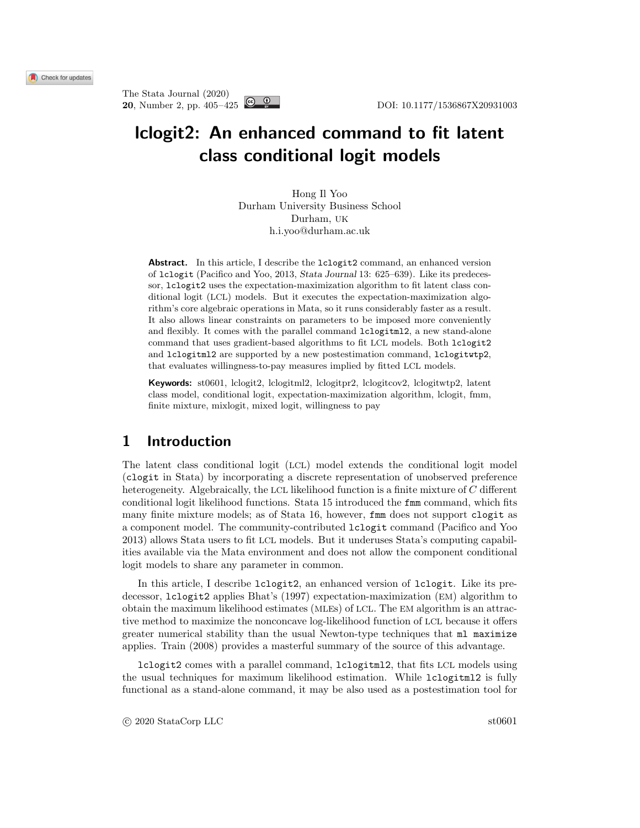# lclogit2: An enhanced command to fit latent class conditional logit models

Hong Il Yoo Durham University Business School Durham, UK h.i.yoo@durham.ac.uk

Abstract. In this article, I describe the lclogit2 command, an enhanced version of lclogit [\(Pacifico and Yoo, 2013,](#page-20-0) Stata Journal 13: 625–639). Like its predecessor, lclogit2 uses the expectation-maximization algorithm to fit latent class conditional logit (LCL) models. But it executes the expectation-maximization algorithm's core algebraic operations in Mata, so it runs considerably faster as a result. It also allows linear constraints on parameters to be imposed more conveniently and flexibly. It comes with the parallel command lclogitml2, a new stand-alone command that uses gradient-based algorithms to fit LCL models. Both lclogit2 and lclogitml2 are supported by a new postestimation command, lclogitwtp2, that evaluates willingness-to-pay measures implied by fitted LCL models.

Keywords: st0601, lclogit2, lclogitml2, lclogitpr2, lclogitcov2, lclogitwtp2, latent class model, conditional logit, expectation-maximization algorithm, lclogit, fmm, finite mixture, mixlogit, mixed logit, willingness to pay

## 1 Introduction

The latent class conditional logit (LCL) model extends the conditional logit model (clogit in Stata) by incorporating a discrete representation of unobserved preference heterogeneity. Algebraically, the LCL likelihood function is a finite mixture of C different conditional logit likelihood functions. Stata 15 introduced the fmm command, which fits many finite mixture models; as of Stata 16, however, fmm does not support clogit as a component model. The community-contributed lclogit command [\(Pacifico and Yoo](#page-20-0) [2013\)](#page-20-0) allows Stata users to fit LCL models. But it underuses Stata's computing capabilities available via the Mata environment and does not allow the component conditional logit models to share any parameter in common.

In this article, I describe lclogit2, an enhanced version of lclogit. Like its predecessor, lclogit2 applies Bhat's [\(1997\)](#page-19-0) expectation-maximization (EM) algorithm to obtain the maximum likelihood estimates (MLEs) of LCL. The EM algorithm is an attractive method to maximize the nonconcave log-likelihood function of LCL because it offers greater numerical stability than the usual Newton-type techniques that ml maximize applies. [Train](#page-20-1) [\(2008\)](#page-20-1) provides a masterful summary of the source of this advantage.

lclogit2 comes with a parallel command, lclogitml2, that fits LCL models using the usual techniques for maximum likelihood estimation. While lclogitml2 is fully functional as a stand-alone command, it may be also used as a postestimation tool for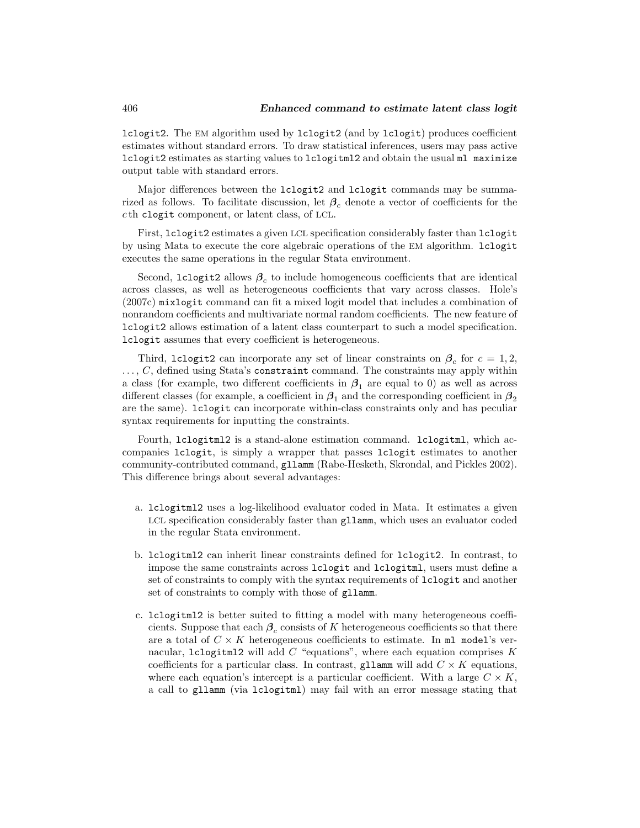lclogit2. The EM algorithm used by lclogit2 (and by lclogit) produces coefficient estimates without standard errors. To draw statistical inferences, users may pass active lclogit2 estimates as starting values to lclogitml2 and obtain the usual ml maximize output table with standard errors.

Major differences between the lclogit2 and lclogit commands may be summarized as follows. To facilitate discussion, let  $\beta_c$  denote a vector of coefficients for the c th clogit component, or latent class, of LCL.

First, lclogit2 estimates a given LCL specification considerably faster than lclogit by using Mata to execute the core algebraic operations of the EM algorithm. lclogit executes the same operations in the regular Stata environment.

Second,  $lclogit2$  allows  $\beta_c$  to include homogeneous coefficients that are identical across classes, as well as heterogeneous coefficients that vary across classes. Hole's [\(2007c\)](#page-20-2) mixlogit command can fit a mixed logit model that includes a combination of nonrandom coefficients and multivariate normal random coefficients. The new feature of lclogit2 allows estimation of a latent class counterpart to such a model specification. lclogit assumes that every coefficient is heterogeneous.

Third, lclogit2 can incorporate any set of linear constraints on  $\beta_c$  for  $c = 1, 2,$  $\ldots$ , C, defined using Stata's constraint command. The constraints may apply within a class (for example, two different coefficients in  $\beta_1$  are equal to 0) as well as across different classes (for example, a coefficient in  $\beta_1$  and the corresponding coefficient in  $\beta_2$ are the same). lclogit can incorporate within-class constraints only and has peculiar syntax requirements for inputting the constraints.

Fourth, lclogitml2 is a stand-alone estimation command. lclogitml, which accompanies lclogit, is simply a wrapper that passes lclogit estimates to another community-contributed command, gllamm [\(Rabe-Hesketh, Skrondal, and Pickles 2002\)](#page-20-3). This difference brings about several advantages:

- a. lclogitml2 uses a log-likelihood evaluator coded in Mata. It estimates a given LCL specification considerably faster than gllamm, which uses an evaluator coded in the regular Stata environment.
- b. lclogitml2 can inherit linear constraints defined for lclogit2. In contrast, to impose the same constraints across lclogit and lclogitml, users must define a set of constraints to comply with the syntax requirements of lclogit and another set of constraints to comply with those of gllamm.
- c. lclogitml2 is better suited to fitting a model with many heterogeneous coefficients. Suppose that each  $\beta_c$  consists of K heterogeneous coefficients so that there are a total of  $C \times K$  heterogeneous coefficients to estimate. In ml model's vernacular, lclogitml2 will add  $C$  "equations", where each equation comprises  $K$ coefficients for a particular class. In contrast, gllamm will add  $C \times K$  equations, where each equation's intercept is a particular coefficient. With a large  $C \times K$ , a call to gllamm (via lclogitml) may fail with an error message stating that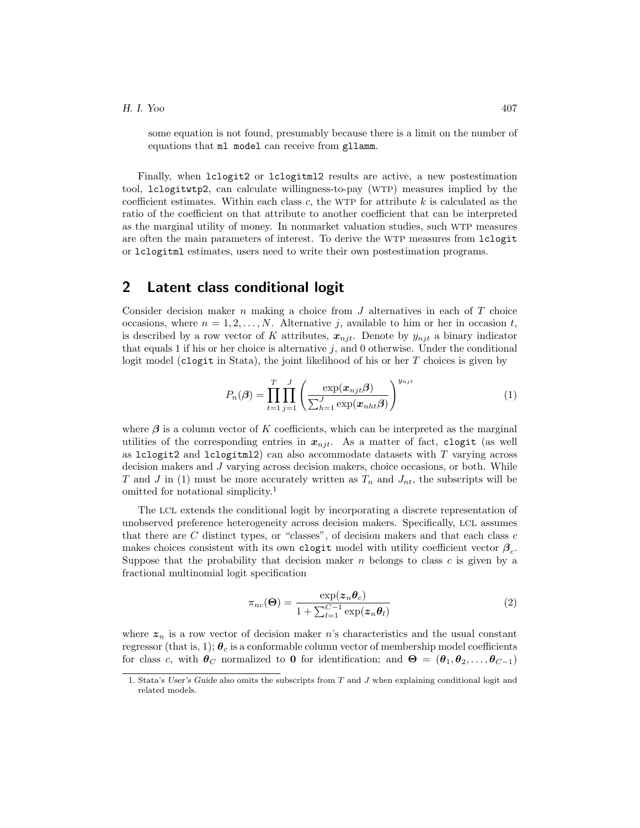some equation is not found, presumably because there is a limit on the number of equations that ml model can receive from gllamm.

Finally, when lclogit2 or lclogitml2 results are active, a new postestimation tool, lclogitwtp2, can calculate willingness-to-pay (WTP) measures implied by the coefficient estimates. Within each class  $c$ , the WTP for attribute  $k$  is calculated as the ratio of the coefficient on that attribute to another coefficient that can be interpreted as the marginal utility of money. In nonmarket valuation studies, such WTP measures are often the main parameters of interest. To derive the WTP measures from lclogit or lclogitml estimates, users need to write their own postestimation programs.

#### 2 Latent class conditional logit

Consider decision maker n making a choice from  $J$  alternatives in each of  $T$  choice occasions, where  $n = 1, 2, \ldots, N$ . Alternative j, available to him or her in occasion t, is described by a row vector of K attributes,  $x_{nji}$ . Denote by  $y_{nji}$  a binary indicator that equals 1 if his or her choice is alternative  $j$ , and 0 otherwise. Under the conditional logit model (clogit in Stata), the joint likelihood of his or her  $T$  choices is given by

<span id="page-3-0"></span>
$$
P_n(\boldsymbol{\beta}) = \prod_{t=1}^T \prod_{j=1}^J \left( \frac{\exp(\boldsymbol{x}_{njt}\boldsymbol{\beta})}{\sum_{h=1}^J \exp(\boldsymbol{x}_{nht}\boldsymbol{\beta})} \right)^{y_{njt}} \tag{1}
$$

where  $\beta$  is a column vector of K coefficients, which can be interpreted as the marginal utilities of the corresponding entries in  $x_{nit}$ . As a matter of fact, clogit (as well as lclogit2 and lclogitml2) can also accommodate datasets with  $T$  varying across decision makers and J varying across decision makers, choice occasions, or both. While T and J in [\(1\)](#page-3-0) must be more accurately written as  $T_n$  and  $J_{nt}$ , the subscripts will be omitted for notational simplicity.[1](#page-3-1)

The LCL extends the conditional logit by incorporating a discrete representation of unobserved preference heterogeneity across decision makers. Specifically, LCL assumes that there are  $C$  distinct types, or "classes", of decision makers and that each class  $c$ makes choices consistent with its own clogit model with utility coefficient vector  $\beta_c$ . Suppose that the probability that decision maker  $n$  belongs to class  $c$  is given by a fractional multinomial logit specification

<span id="page-3-2"></span>
$$
\pi_{nc}(\Theta) = \frac{\exp(z_n \theta_c)}{1 + \sum_{l=1}^{C-1} \exp(z_n \theta_l)}\tag{2}
$$

where  $z_n$  is a row vector of decision maker n's characteristics and the usual constant regressor (that is, 1);  $\theta_c$  is a conformable column vector of membership model coefficients for class c, with  $\theta_C$  normalized to 0 for identification; and  $\Theta = (\theta_1, \theta_2, \dots, \theta_{C-1})$ 

<span id="page-3-1"></span><sup>1.</sup> Stata's User's Guide also omits the subscripts from  $T$  and  $J$  when explaining conditional logit and related models.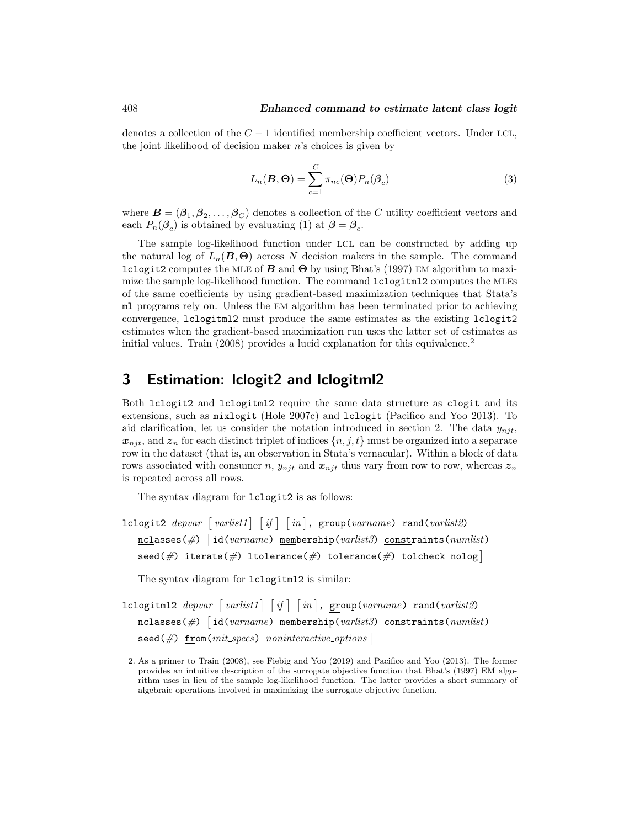denotes a collection of the  $C-1$  identified membership coefficient vectors. Under LCL, the joint likelihood of decision maker  $n$ 's choices is given by

<span id="page-4-1"></span>
$$
L_n(\boldsymbol{B}, \boldsymbol{\Theta}) = \sum_{c=1}^C \pi_{nc}(\boldsymbol{\Theta}) P_n(\boldsymbol{\beta}_c)
$$
\n(3)

where  $\bm{B}=(\bm{\beta}_1,\bm{\beta}_2,\ldots,\bm{\beta}_C)$  denotes a collection of the  $C$  utility coefficient vectors and each  $P_n(\mathcal{B}_c)$  is obtained by evaluating [\(1\)](#page-3-0) at  $\beta = \beta_c$ .

The sample log-likelihood function under LCL can be constructed by adding up the natural log of  $L_n(\mathbf{B}, \mathbf{\Theta})$  across N decision makers in the sample. The command lclogit2 computes the MLE of  $\vec{B}$  and  $\Theta$  by using Bhat's [\(1997\)](#page-19-0) EM algorithm to maximize the sample log-likelihood function. The command lclogitml2 computes the MLEs of the same coefficients by using gradient-based maximization techniques that Stata's ml programs rely on. Unless the EM algorithm has been terminated prior to achieving convergence, lclogitml2 must produce the same estimates as the existing lclogit2 estimates when the gradient-based maximization run uses the latter set of estimates as initial values. [Train](#page-20-1)  $(2008)$  provides a lucid explanation for this equivalence.<sup>[2](#page-4-0)</sup>

### 3 Estimation: lclogit2 and lclogitml2

Both lclogit2 and lclogitml2 require the same data structure as clogit and its extensions, such as mixlogit [\(Hole 2007c\)](#page-20-2) and lclogit [\(Pacifico and Yoo 2013\)](#page-20-0). To aid clarification, let us consider the notation introduced in section 2. The data  $y_{nit}$ ,  $x_{n,i}$ , and  $z_n$  for each distinct triplet of indices  $\{n, j, t\}$  must be organized into a separate row in the dataset (that is, an observation in Stata's vernacular). Within a block of data rows associated with consumer n,  $y_{njt}$  and  $x_{njt}$  thus vary from row to row, whereas  $z_n$ is repeated across all rows.

The syntax diagram for lclogit2 is as follows:

```
lclogit2 \emph{deposit2} \emph{levari} \emph{varivative1} \emph{if} \emph{in} , \emph{group(varname)} rand(varlist2)
     \underline{\mathtt{ncl}}asses(#) \bigl[id(varname) \underline{\mathtt{mem}}bership(varlist3) \underline{\mathtt{const}}raints(\mathit{numlist})
     \texttt{seed}(\#) \texttt{iterate}(\#) \texttt{tolderance}(\#) \texttt{tolerance}(\#) \texttt{tolcheck nology}
```
The syntax diagram for lclogitml2 is similar:

 ${\tt lclogitm12}$   $\emph{depara}$   $\lceil \emph{varlist1} \rceil$   $\lceil \emph{if} \rceil$   $\lceil \emph{in} \rceil$ ,  ${\tt group}(\emph{varname})$   ${\tt rand}(\emph{varlist2})$  $\underline{\mathtt{ncl}}$ asses(#)  $\lceil$ id(*varname*)  $\underline{\mathtt{mem}}$ bership(*varlist3*) constraints(*numlist*)  $\texttt{seed}(\textit{\#})$   $\underline{\texttt{from}}(\textit{init}\textit{...} \textit{species})$  noninteractive options

<span id="page-4-0"></span><sup>2.</sup> As a primer to [Train](#page-20-1) [\(2008\)](#page-20-1), see [Fiebig and Yoo](#page-19-1) [\(2019\)](#page-19-1) and [Pacifico and Yoo](#page-20-0) [\(2013\)](#page-20-0). The former provides an intuitive description of the surrogate objective function that Bhat's [\(1997\)](#page-19-0) EM algorithm uses in lieu of the sample log-likelihood function. The latter provides a short summary of algebraic operations involved in maximizing the surrogate objective function.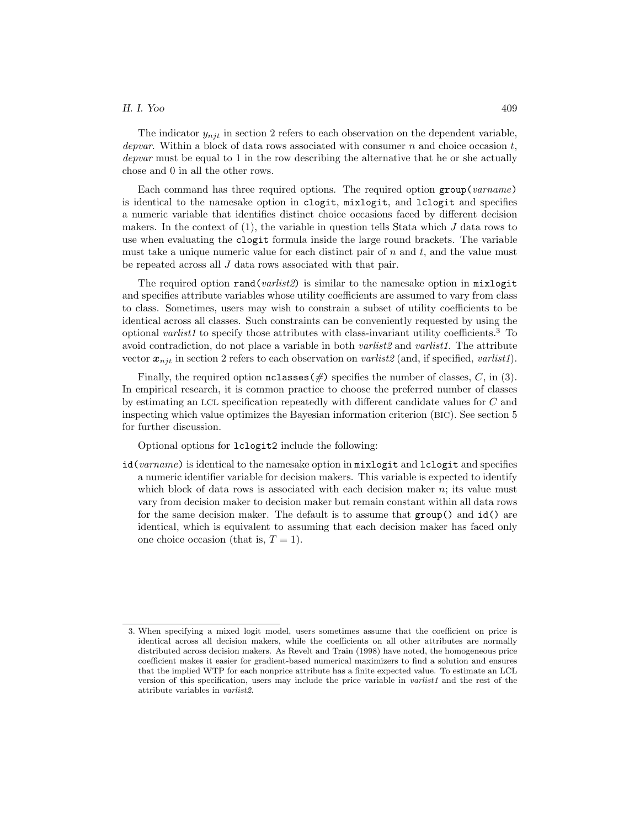The indicator  $y_{nik}$  in section 2 refers to each observation on the dependent variable, depvar. Within a block of data rows associated with consumer  $n$  and choice occasion  $t$ , depvar must be equal to 1 in the row describing the alternative that he or she actually chose and 0 in all the other rows.

Each command has three required options. The required option  $group(varname)$ is identical to the namesake option in clogit, mixlogit, and lclogit and specifies a numeric variable that identifies distinct choice occasions faced by different decision makers. In the context of  $(1)$ , the variable in question tells Stata which J data rows to use when evaluating the clogit formula inside the large round brackets. The variable must take a unique numeric value for each distinct pair of  $n$  and  $t$ , and the value must be repeated across all J data rows associated with that pair.

The required option rand(*varlist2*) is similar to the namesake option in mixlogit and specifies attribute variables whose utility coefficients are assumed to vary from class to class. Sometimes, users may wish to constrain a subset of utility coefficients to be identical across all classes. Such constraints can be conveniently requested by using the optional variative to specify those attributes with class-invariant utility coefficients.<sup>[3](#page-5-0)</sup> To avoid contradiction, do not place a variable in both *varlist2* and *varlist1*. The attribute vector  $x_{nji}$  in section 2 refers to each observation on varilist (and, if specified, varilist).

Finally, the required option  $nclasses(\#)$  specifies the number of classes, C, in [\(3\)](#page-4-1). In empirical research, it is common practice to choose the preferred number of classes by estimating an LCL specification repeatedly with different candidate values for C and inspecting which value optimizes the Bayesian information criterion (BIC). See section 5 for further discussion.

Optional options for lclogit2 include the following:

id(varname) is identical to the namesake option in mixlogit and lclogit and specifies a numeric identifier variable for decision makers. This variable is expected to identify which block of data rows is associated with each decision maker  $n$ ; its value must vary from decision maker to decision maker but remain constant within all data rows for the same decision maker. The default is to assume that group() and id() are identical, which is equivalent to assuming that each decision maker has faced only one choice occasion (that is,  $T = 1$ ).

<span id="page-5-0"></span><sup>3.</sup> When specifying a mixed logit model, users sometimes assume that the coefficient on price is identical across all decision makers, while the coefficients on all other attributes are normally distributed across decision makers. As [Revelt and Train](#page-20-4) [\(1998\)](#page-20-4) have noted, the homogeneous price coefficient makes it easier for gradient-based numerical maximizers to find a solution and ensures that the implied WTP for each nonprice attribute has a finite expected value. To estimate an LCL version of this specification, users may include the price variable in  $varlist1$  and the rest of the attribute variables in varlist2.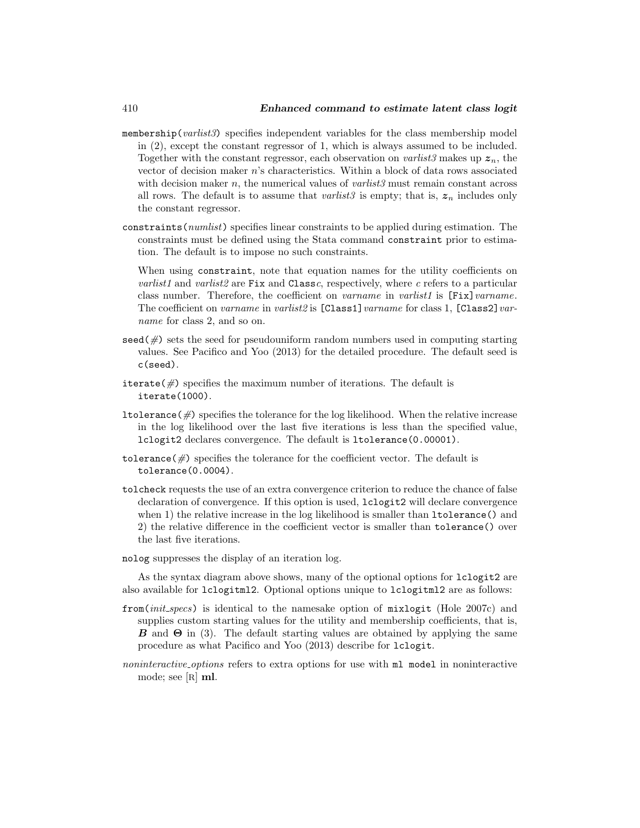- membership( $varlist3$ ) specifies independent variables for the class membership model in [\(2\)](#page-3-2), except the constant regressor of 1, which is always assumed to be included. Together with the constant regressor, each observation on varilist3 makes up  $z_n$ , the vector of decision maker n's characteristics. Within a block of data rows associated with decision maker n, the numerical values of  $varlist3$  must remain constant across all rows. The default is to assume that *varlist*3 is empty; that is,  $z_n$  includes only the constant regressor.
- constraints(numlist) specifies linear constraints to be applied during estimation. The constraints must be defined using the Stata command constraint prior to estimation. The default is to impose no such constraints.

When using constraint, note that equation names for the utility coefficients on *varlist1* and *varlist2* are Fix and Classc, respectively, where c refers to a particular class number. Therefore, the coefficient on *varname* in *varlist1* is [Fix] *varname*. The coefficient on varname in varlist 2 is  $[Class 1]$  varname for class 1,  $[Class 2]$  varname for class 2, and so on.

- $\sec(4)$  sets the seed for pseudouniform random numbers used in computing starting values. See [Pacifico and Yoo](#page-20-0) [\(2013\)](#page-20-0) for the detailed procedure. The default seed is c(seed).
- iterate( $\#$ ) specifies the maximum number of iterations. The default is iterate(1000).
- **ltolerance**  $(\#)$  specifies the tolerance for the log likelihood. When the relative increase in the log likelihood over the last five iterations is less than the specified value, lclogit2 declares convergence. The default is ltolerance(0.00001).
- tolerance  $(\#)$  specifies the tolerance for the coefficient vector. The default is tolerance(0.0004).
- tolcheck requests the use of an extra convergence criterion to reduce the chance of false declaration of convergence. If this option is used, lclogit2 will declare convergence when 1) the relative increase in the log likelihood is smaller than  $lto$ **lerance**() and 2) the relative difference in the coefficient vector is smaller than tolerance() over the last five iterations.
- nolog suppresses the display of an iteration log.

As the syntax diagram above shows, many of the optional options for lclogit2 are also available for lclogitml2. Optional options unique to lclogitml2 are as follows:

- from(init specs) is identical to the namesake option of mixlogit [\(Hole 2007c\)](#page-20-2) and supplies custom starting values for the utility and membership coefficients, that is, **B** and  $\Theta$  in [\(3\)](#page-4-1). The default starting values are obtained by applying the same procedure as what [Pacifico and Yoo](#page-20-0) [\(2013\)](#page-20-0) describe for lclogit.
- noninteractive options refers to extra options for use with  $m$  model in noninteractive mode; see [R] ml.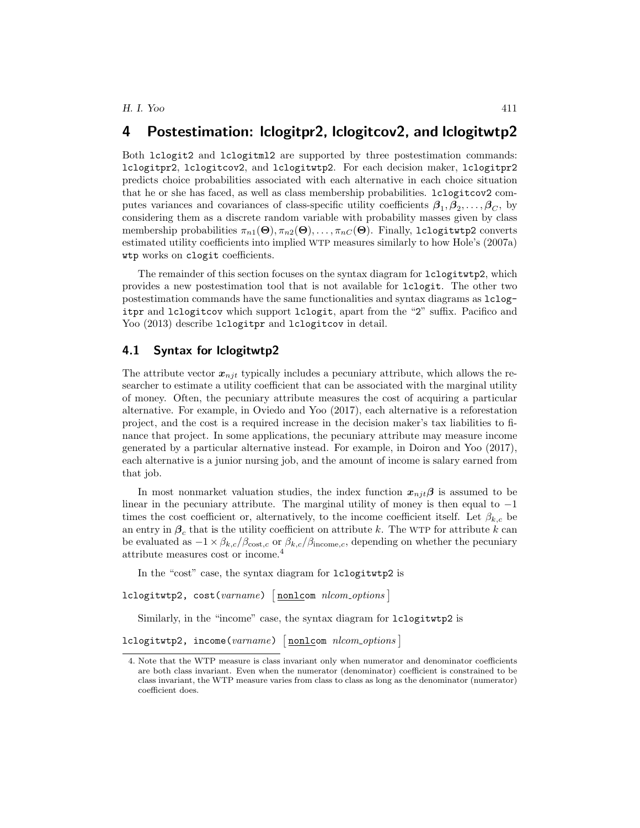### 4 Postestimation: lclogitpr2, lclogitcov2, and lclogitwtp2

Both lclogit2 and lclogitml2 are supported by three postestimation commands: lclogitpr2, lclogitcov2, and lclogitwtp2. For each decision maker, lclogitpr2 predicts choice probabilities associated with each alternative in each choice situation that he or she has faced, as well as class membership probabilities. lclogitcov2 computes variances and covariances of class-specific utility coefficients  $\beta_1, \beta_2, \ldots, \beta_C$ , by considering them as a discrete random variable with probability masses given by class membership probabilities  $\pi_{n1}(\Theta), \pi_{n2}(\Theta), \ldots, \pi_{nC}(\Theta)$ . Finally, lclogitwtp2 converts estimated utility coefficients into implied WTP measures similarly to how Hole's [\(2007a\)](#page-19-2) wtp works on clogit coefficients.

The remainder of this section focuses on the syntax diagram for lclogitwtp2, which provides a new postestimation tool that is not available for lclogit. The other two postestimation commands have the same functionalities and syntax diagrams as lclogitpr and lclogitcov which support lclogit, apart from the "2" suffix. [Pacifico and](#page-20-0) [Yoo](#page-20-0) [\(2013\)](#page-20-0) describe 1clogitpr and 1clogitcov in detail.

#### 4.1 Syntax for lclogitwtp2

The attribute vector  $x_{nit}$  typically includes a pecuniary attribute, which allows the researcher to estimate a utility coefficient that can be associated with the marginal utility of money. Often, the pecuniary attribute measures the cost of acquiring a particular alternative. For example, in [Oviedo and Yoo](#page-20-5) [\(2017\)](#page-20-5), each alternative is a reforestation project, and the cost is a required increase in the decision maker's tax liabilities to finance that project. In some applications, the pecuniary attribute may measure income generated by a particular alternative instead. For example, in [Doiron and Yoo](#page-19-3) [\(2017\)](#page-19-3), each alternative is a junior nursing job, and the amount of income is salary earned from that job.

In most nonmarket valuation studies, the index function  $x_{nji}\beta$  is assumed to be linear in the pecuniary attribute. The marginal utility of money is then equal to  $-1$ times the cost coefficient or, alternatively, to the income coefficient itself. Let  $\beta_{k,c}$  be an entry in  $\beta_c$  that is the utility coefficient on attribute k. The WTP for attribute k can be evaluated as  $-1 \times \beta_{k,c}/\beta_{\text{cost},c}$  or  $\beta_{k,c}/\beta_{\text{income},c}$ , depending on whether the pecuniary attribute measures cost or income.[4](#page-7-0)

In the "cost" case, the syntax diagram for lclogitwtp2 is

```
lclogitwtp2, cost(varname) [nonlcom nlcom_options]
```
Similarly, in the "income" case, the syntax diagram for lclogitwtp2 is

```
lclogitwtp2, income(varname) [nonlcom nlcom_options]
```
<span id="page-7-0"></span><sup>4.</sup> Note that the WTP measure is class invariant only when numerator and denominator coefficients are both class invariant. Even when the numerator (denominator) coefficient is constrained to be class invariant, the WTP measure varies from class to class as long as the denominator (numerator) coefficient does.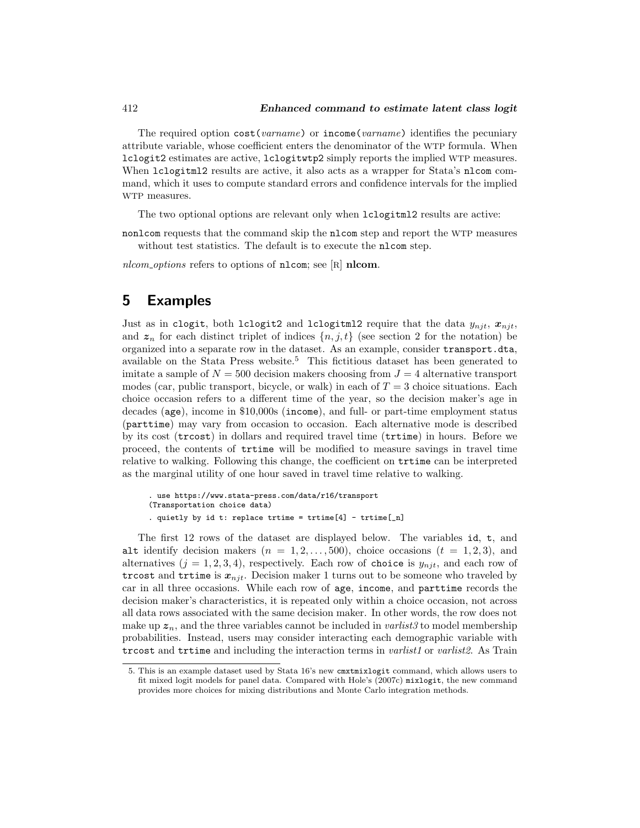The required option  $cost(varname)$  or income(varname) identifies the pecuniary attribute variable, whose coefficient enters the denominator of the WTP formula. When lclogit2 estimates are active, lclogitwtp2 simply reports the implied WTP measures. When lclogitml2 results are active, it also acts as a wrapper for Stata's nlcom command, which it uses to compute standard errors and confidence intervals for the implied WTP measures.

The two optional options are relevant only when lclogitml2 results are active:

nonlcom requests that the command skip the nlcom step and report the WTP measures without test statistics. The default is to execute the nlcom step.

nlcom options refers to options of nlcom; see  $[R]$  nlcom.

### 5 Examples

Just as in clogit, both lclogit2 and lclogitml2 require that the data  $y_{nit}$ ,  $x_{nit}$ , and  $z_n$  for each distinct triplet of indices  $\{n, j, t\}$  (see section 2 for the notation) be organized into a separate row in the dataset. As an example, consider transport.dta, available on the Stata Press website.[5](#page-8-0) This fictitious dataset has been generated to imitate a sample of  $N = 500$  decision makers choosing from  $J = 4$  alternative transport modes (car, public transport, bicycle, or walk) in each of  $T = 3$  choice situations. Each choice occasion refers to a different time of the year, so the decision maker's age in decades (age), income in \$10,000s (income), and full- or part-time employment status (parttime) may vary from occasion to occasion. Each alternative mode is described by its cost (trcost) in dollars and required travel time (trtime) in hours. Before we proceed, the contents of trtime will be modified to measure savings in travel time relative to walking. Following this change, the coefficient on trtime can be interpreted as the marginal utility of one hour saved in travel time relative to walking.

```
. use https://www.stata-press.com/data/r16/transport
(Transportation choice data)
. quietly by id t: replace trtime = trtime [4] - trtime [-n]
```
The first 12 rows of the dataset are displayed below. The variables id, t, and alt identify decision makers  $(n = 1, 2, \ldots, 500)$ , choice occasions  $(t = 1, 2, 3)$ , and alternatives  $(j = 1, 2, 3, 4)$ , respectively. Each row of choice is  $y_{n,i}$ , and each row of trcost and trtime is  $x_{nit}$ . Decision maker 1 turns out to be someone who traveled by car in all three occasions. While each row of age, income, and parttime records the decision maker's characteristics, it is repeated only within a choice occasion, not across all data rows associated with the same decision maker. In other words, the row does not make up  $z_n$ , and the three variables cannot be included in *varlist3* to model membership probabilities. Instead, users may consider interacting each demographic variable with trcost and traine and including the interaction terms in *varlist1* or *varlist2*. As [Train](#page-20-6)

<span id="page-8-0"></span><sup>5.</sup> This is an example dataset used by Stata 16's new cmxtmixlogit command, which allows users to fit mixed logit models for panel data. Compared with Hole's [\(2007c\)](#page-20-2) mixlogit, the new command provides more choices for mixing distributions and Monte Carlo integration methods.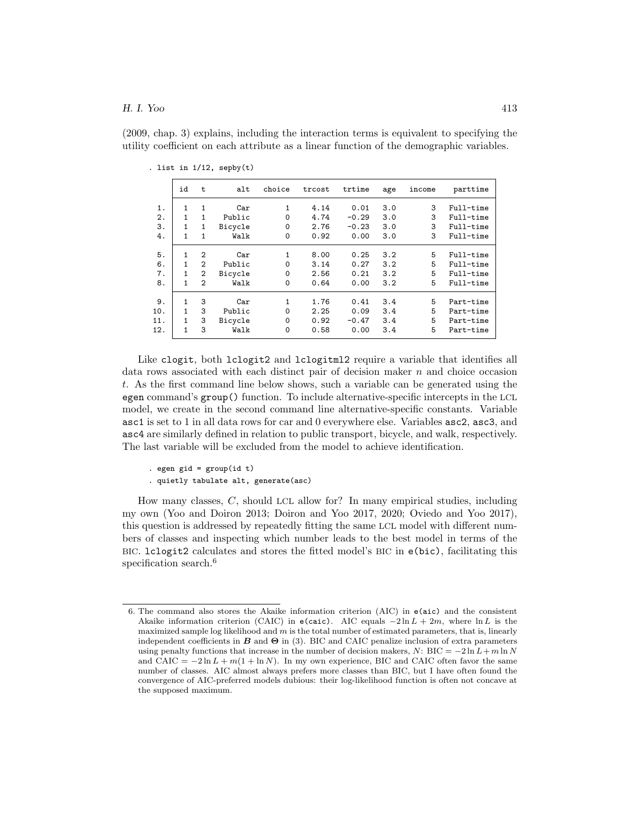[\(2009,](#page-20-6) chap. 3) explains, including the interaction terms is equivalent to specifying the utility coefficient on each attribute as a linear function of the demographic variables.

|     | id           | t              | alt     | choice   | trcost | trtime  | age | income | parttime  |
|-----|--------------|----------------|---------|----------|--------|---------|-----|--------|-----------|
| 1.  |              | 1              | Car     | 1        | 4.14   | 0.01    | 3.0 | 3      | Full-time |
| 2.  |              | 1              | Public  | $\Omega$ | 4.74   | $-0.29$ | 3.0 | 3      | Full-time |
| 3.  | 1            | 1              | Bicycle | $\Omega$ | 2.76   | $-0.23$ | 3.0 | 3      | Full-time |
| 4.  | 1            | 1              | Walk    | $\Omega$ | 0.92   | 0.00    | 3.0 | 3      | Full-time |
| 5.  |              | $\overline{2}$ | Car     | 1        | 8.00   | 0.25    | 3.2 | 5      | Full-time |
| 6.  |              | $\overline{2}$ | Public  | 0        | 3.14   | 0.27    | 3.2 | 5      | Full-time |
| 7.  | $\mathbf{1}$ | $\overline{2}$ | Bicycle | $\Omega$ | 2.56   | 0.21    | 3.2 | 5      | Full-time |
| 8.  | 1            | $\overline{2}$ | Walk    | $\Omega$ | 0.64   | 0.00    | 3.2 | 5      | Full-time |
| 9.  |              | 3              | Car     | 1        | 1.76   | 0.41    | 3.4 | 5      | Part-time |
| 10. | 1            | 3              | Public  | $\Omega$ | 2.25   | 0.09    | 3.4 | 5      | Part-time |
| 11. | 1            | 3              | Bicycle | 0        | 0.92   | $-0.47$ | 3.4 | 5      | Part-time |
| 12. | $\mathbf{1}$ | 3              | Walk    | $\Omega$ | 0.58   | 0.00    | 3.4 | 5      | Part-time |
|     |              |                |         |          |        |         |     |        |           |

. list in 1/12, sepby(t)

Like clogit, both lclogit2 and lclogitml2 require a variable that identifies all data rows associated with each distinct pair of decision maker  $n$  and choice occasion t. As the first command line below shows, such a variable can be generated using the egen command's group() function. To include alternative-specific intercepts in the LCL model, we create in the second command line alternative-specific constants. Variable asc1 is set to 1 in all data rows for car and 0 everywhere else. Variables asc2, asc3, and asc4 are similarly defined in relation to public transport, bicycle, and walk, respectively. The last variable will be excluded from the model to achieve identification.

```
. egen gid = group(id t)
```
. quietly tabulate alt, generate(asc)

How many classes, C, should LCL allow for? In many empirical studies, including my own [\(Yoo and Doiron 2013;](#page-20-7) [Doiron and Yoo 2017,](#page-19-3) [2020;](#page-19-4) [Oviedo and Yoo 2017\)](#page-20-5), this question is addressed by repeatedly fitting the same LCL model with different numbers of classes and inspecting which number leads to the best model in terms of the BIC. lclogit2 calculates and stores the fitted model's BIC in e(bic), facilitating this specification search.<sup>[6](#page-9-0)</sup>

<span id="page-9-0"></span><sup>6.</sup> The command also stores the Akaike information criterion (AIC) in e(aic) and the consistent Akaike information criterion (CAIC) in e(caic). AIC equals  $-2 \ln L + 2m$ , where  $\ln L$  is the maximized sample log likelihood and  $m$  is the total number of estimated parameters, that is, linearly independent coefficients in  $\bf{B}$  and  $\bf{\Theta}$  in [\(3\)](#page-4-1). BIC and CAIC penalize inclusion of extra parameters using penalty functions that increase in the number of decision makers, N: BIC =  $-2 \ln L + m \ln N$ and CAIC =  $-2 \ln L + m(1 + \ln N)$ . In my own experience, BIC and CAIC often favor the same number of classes. AIC almost always prefers more classes than BIC, but I have often found the convergence of AIC-preferred models dubious: their log-likelihood function is often not concave at the supposed maximum.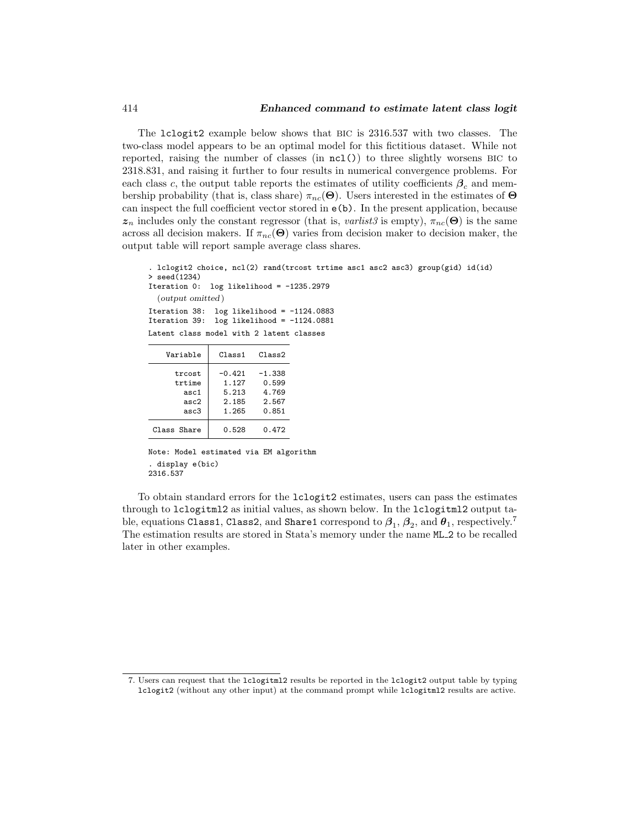The lclogit2 example below shows that BIC is 2316.537 with two classes. The two-class model appears to be an optimal model for this fictitious dataset. While not reported, raising the number of classes (in  $nc1()$ ) to three slightly worsens BIC to 2318.831, and raising it further to four results in numerical convergence problems. For each class c, the output table reports the estimates of utility coefficients  $\beta_c$  and membership probability (that is, class share)  $\pi_{nc}(\Theta)$ . Users interested in the estimates of  $\Theta$ can inspect the full coefficient vector stored in e(b). In the present application, because  $z_n$  includes only the constant regressor (that is, varlist 3 is empty),  $\pi_{nc}(\Theta)$  is the same across all decision makers. If  $\pi_{nc}(\Theta)$  varies from decision maker to decision maker, the output table will report sample average class shares.

```
. lclogit2 choice, ncl(2) rand(trcost trtime asc1 asc2 asc3) group(gid) id(id)
> seed(1234)
Iteration 0: log likelihood = -1235.2979(output omitted )
Iteration 38: log likelihood = -1124.0883
Iteration 39: log likelihood = -1124.0881
Latent class model with 2 latent classes
```

| Variable                                 | Class 1                                      | Class2                                       |
|------------------------------------------|----------------------------------------------|----------------------------------------------|
| trcost<br>trtime<br>asc1<br>asc2<br>asc3 | $-0.421$<br>1.127<br>5.213<br>2.185<br>1.265 | $-1.338$<br>0.599<br>4.769<br>2.567<br>0.851 |
| Class Share                              | 0.528                                        | 0.472                                        |

```
Note: Model estimated via EM algorithm
. display e(bic)
2316.537
```
To obtain standard errors for the lclogit2 estimates, users can pass the estimates through to lclogitml2 as initial values, as shown below. In the lclogitml2 output table, equations Class1, Class2, and Share1 correspond to  $\boldsymbol{\beta}_1,\boldsymbol{\beta}_2,$  and  $\boldsymbol{\theta}_1$ , respectively.<sup>[7](#page-10-0)</sup> The estimation results are stored in Stata's memory under the name ML 2 to be recalled later in other examples.

<span id="page-10-0"></span><sup>7.</sup> Users can request that the lclogitml2 results be reported in the lclogit2 output table by typing lclogit2 (without any other input) at the command prompt while lclogitml2 results are active.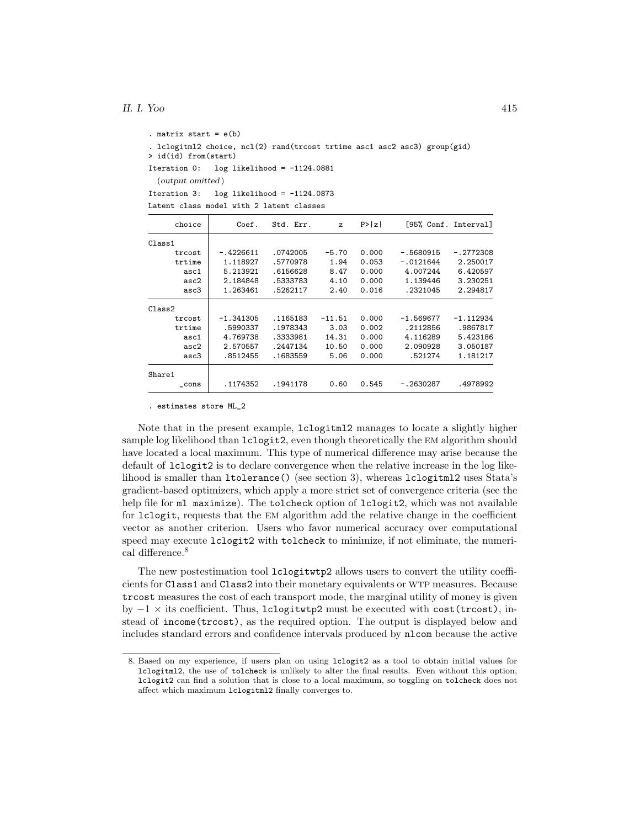```
. matrix start = e(b). lclogitml2 choice, ncl(2) rand(trcost trtime asc1 asc2 asc3) group(gid)
> id(id) from(start)
Iteration 0: log likelihood = -1124.0881
  (output omitted )
Iteration 3: log likelihood = -1124.0873
Latent class model with 2 latent classes
```

| choice  | Coef.       | Std. Err. | $\mathbf{z}$ | P >  z | [95% Conf. Interval] |             |
|---------|-------------|-----------|--------------|--------|----------------------|-------------|
| Class 1 |             |           |              |        |                      |             |
| trcost  | $-.4226611$ | .0742005  | $-5.70$      | 0.000  | $-.5680915$          | $-.2772308$ |
| trtime  | 1.118927    | .5770978  | 1.94         | 0.053  | $-.0121644$          | 2.250017    |
| asc1    | 5.213921    | .6156628  | 8.47         | 0.000  | 4.007244             | 6.420597    |
| asc2    | 2.184848    | .5333783  | 4.10         | 0.000  | 1.139446             | 3.230251    |
| asc3    | 1.263461    | .5262117  | 2.40         | 0.016  | .2321045             | 2.294817    |
| Class2  |             |           |              |        |                      |             |
| trcost  | $-1.341305$ | .1165183  | $-11.51$     | 0.000  | $-1.569677$          | -1.112934   |
| trtime  | .5990337    | .1978343  | 3.03         | 0.002  | .2112856             | .9867817    |
| asc1    | 4.769738    | .3333981  | 14.31        | 0.000  | 4.116289             | 5.423186    |
| asc2    | 2.570557    | .2447134  | 10.50        | 0.000  | 2.090928             | 3.050187    |
| asc3    | .8512455    | .1683559  | 5.06         | 0.000  | .521274              | 1.181217    |
| Share1  |             |           |              |        |                      |             |
| cons    | .1174352    | .1941178  | 0.60         | 0.545  | $-.2630287$          | .4978992    |

. estimates store ML\_2

Note that in the present example, lclogitml2 manages to locate a slightly higher sample log likelihood than lclogit2, even though theoretically the EM algorithm should have located a local maximum. This type of numerical difference may arise because the default of lclogit2 is to declare convergence when the relative increase in the log likelihood is smaller than ltolerance() (see section 3), whereas lclogitml2 uses Stata's gradient-based optimizers, which apply a more strict set of convergence criteria (see the help file for ml maximize). The tolcheck option of lclogit2, which was not available for lclogit, requests that the EM algorithm add the relative change in the coefficient vector as another criterion. Users who favor numerical accuracy over computational speed may execute lclogit2 with tolcheck to minimize, if not eliminate, the numeri-cal difference.<sup>[8](#page-11-0)</sup>

The new postestimation tool lclogitwtp2 allows users to convert the utility coefficients for Class1 and Class2 into their monetary equivalents or WTP measures. Because trcost measures the cost of each transport mode, the marginal utility of money is given by  $-1 \times$  its coefficient. Thus, lclogitwtp2 must be executed with cost(trost), instead of income(trcost), as the required option. The output is displayed below and includes standard errors and confidence intervals produced by nlcom because the active

<span id="page-11-0"></span><sup>8.</sup> Based on my experience, if users plan on using lclogit2 as a tool to obtain initial values for lclogitml2, the use of tolcheck is unlikely to alter the final results. Even without this option, lclogit2 can find a solution that is close to a local maximum, so toggling on tolcheck does not affect which maximum lclogitml2 finally converges to.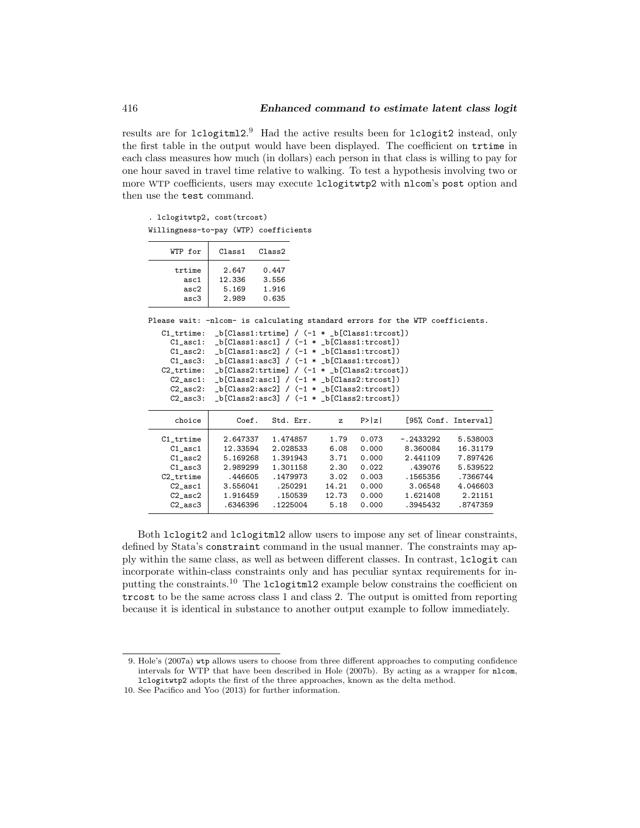results are for  $lclogitm12.<sup>9</sup>$  $lclogitm12.<sup>9</sup>$  $lclogitm12.<sup>9</sup>$  Had the active results been for  $lclogit2$  instead, only the first table in the output would have been displayed. The coefficient on trtime in each class measures how much (in dollars) each person in that class is willing to pay for one hour saved in travel time relative to walking. To test a hypothesis involving two or more WTP coefficients, users may execute lclogitwtp2 with nlcom's post option and then use the test command.

. lclogitwtp2, cost(trcost) Willingness-to-pay (WTP) coefficients

| WTP for | $C1$ ass1 | Class2 |
|---------|-----------|--------|
| trtime  | 2.647     | 0.447  |
| asc1    | 12.336    | 3.556  |
| asc2    | 5.169     | 1.916  |
| asc3    | 2.989     | 0.635  |

Please wait: -nlcom- is calculating standard errors for the WTP coefficients.

C1\_trtime: \_b[Class1:trtime] / (-1 \* \_b[Class1:trcost]) C1\_asc1: \_b[Class1:asc1] /  $(-1 * _b[Class1:trost])$ C1\_asc2: \_b[Class1:asc2] /  $(-1 * _b[Class1:trcost])$  $C1$ <sub>\_asc</sub>3: \_b[ $C1$ ass1:asc3] /  $(-1 * _b[C1ass1:trost])$ C2\_trtime: \_b[Class2:trtime] / (-1 \* \_b[Class2:trcost])

C2\_asc1: \_b[Class2:asc1] / (-1 \* \_b[Class2:trcost])

| $C2$ asc $2$ :<br>$C2$ asc $3$ : | $b[Class2:asc2] / (-1 * b[Class2:trost])$<br>$_b[Class2:asc3] / (-1 * b[Class2:trost])$ |           |              |        |             |                      |
|----------------------------------|-----------------------------------------------------------------------------------------|-----------|--------------|--------|-------------|----------------------|
| choice                           | Coef.                                                                                   | Std. Err. | $\mathbf{z}$ | P >  z |             | [95% Conf. Interval] |
| C1 trtime                        | 2.647337                                                                                | 1.474857  | 1.79         | 0.073  | $-.2433292$ | 5.538003             |
| $C1$ asc $1$                     | 12.33594                                                                                | 2.028533  | 6.08         | 0.000  | 8.360084    | 16.31179             |
| $C1$ asc $2$                     | 5.169268                                                                                | 1.391943  | 3.71         | 0.000  | 2.441109    | 7.897426             |
| $C1$ asc $3$                     | 2.989299                                                                                | 1.301158  | 2.30         | 0.022  | .439076     | 5.539522             |
| C2 trtime                        | .446605                                                                                 | .1479973  | 3.02         | 0.003  | .1565356    | .7366744             |
| $C2$ asc $1$                     | 3.556041                                                                                | .250291   | 14.21        | 0.000  | 3.06548     | 4.046603             |
| $C2$ asc $2$                     | 1.916459                                                                                | .150539   | 12.73        | 0.000  | 1.621408    | 2.21151              |
| $C2$ asc $3$                     | .6346396                                                                                | .1225004  | 5.18         | 0.000  | .3945432    | .8747359             |

Both lclogit2 and lclogitml2 allow users to impose any set of linear constraints, defined by Stata's constraint command in the usual manner. The constraints may apply within the same class, as well as between different classes. In contrast, lclogit can incorporate within-class constraints only and has peculiar syntax requirements for inputting the constraints.[10](#page-12-1) The lclogitml2 example below constrains the coefficient on trcost to be the same across class 1 and class 2. The output is omitted from reporting because it is identical in substance to another output example to follow immediately.

<span id="page-12-0"></span><sup>9.</sup> Hole's [\(2007a\)](#page-19-2) wtp allows users to choose from three different approaches to computing confidence intervals for WTP that have been described in [Hole](#page-20-8) [\(2007b\)](#page-20-8). By acting as a wrapper for nlcom, lclogitwtp2 adopts the first of the three approaches, known as the delta method.

<span id="page-12-1"></span><sup>10.</sup> See [Pacifico and Yoo](#page-20-0) [\(2013\)](#page-20-0) for further information.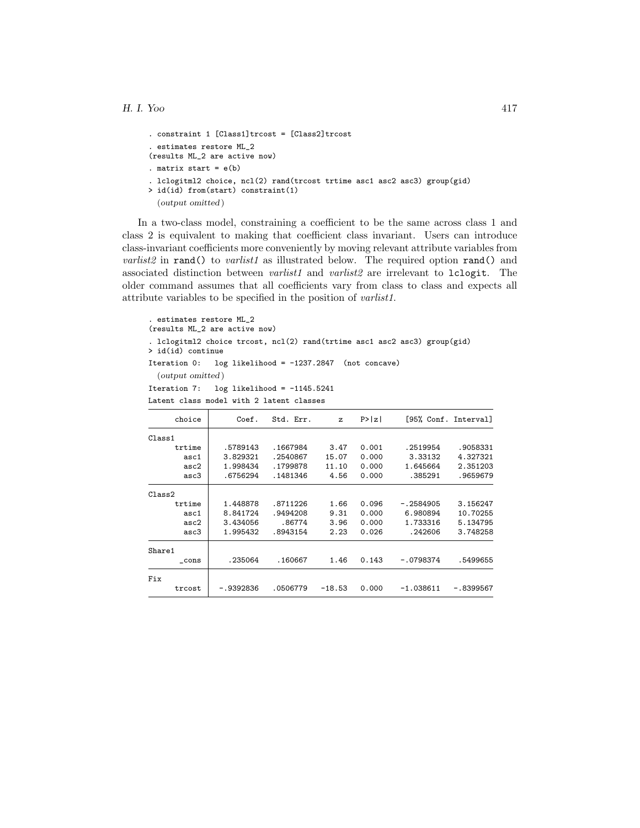```
. constraint 1 [Class1]trcost = [Class2]trcost
. estimates restore ML_2
(results ML_2 are active now)
. matrix start = e(b). lclogitml2 choice, ncl(2) rand(trcost trtime asc1 asc2 asc3) group(gid)
> id(id) from(start) constraint(1)
  (output omitted )
```
In a two-class model, constraining a coefficient to be the same across class 1 and class 2 is equivalent to making that coefficient class invariant. Users can introduce class-invariant coefficients more conveniently by moving relevant attribute variables from varlist2 in rand() to varlist1 as illustrated below. The required option rand() and associated distinction between *varlist1* and *varlist2* are irrelevant to  $lcl$ ogit. The older command assumes that all coefficients vary from class to class and expects all attribute variables to be specified in the position of varlist1.

```
. estimates restore ML_2
(results ML_2 are active now)
. lclogitml2 choice trcost, ncl(2) rand(trtime asc1 asc2 asc3) group(gid)
> id(id) continue
Iteration 0: log likelihood = -1237.2847 (not concave)
  (output omitted )
Iteration 7: log likelihood = -1145.5241
Latent class model with 2 latent classes
```

| choice | Coef.     | Std. Err. | $\mathbf{z}$ | P >  z |             | [95% Conf. Interval] |
|--------|-----------|-----------|--------------|--------|-------------|----------------------|
| Class1 |           |           |              |        |             |                      |
| trtime | .5789143  | .1667984  | 3.47         | 0.001  | .2519954    | .9058331             |
| asc1   | 3.829321  | .2540867  | 15.07        | 0.000  | 3.33132     | 4.327321             |
| asc2   | 1.998434  | .1799878  | 11.10        | 0.000  | 1.645664    | 2.351203             |
| asc3   | .6756294  | .1481346  | 4.56         | 0.000  | .385291     | .9659679             |
| Class2 |           |           |              |        |             |                      |
| trtime | 1.448878  | .8711226  | 1.66         | 0.096  | $-.2584905$ | 3.156247             |
| asc1   | 8.841724  | .9494208  | 9.31         | 0.000  | 6.980894    | 10.70255             |
| asc2   | 3.434056  | .86774    | 3.96         | 0.000  | 1.733316    | 5.134795             |
| asc3   | 1.995432  | .8943154  | 2.23         | 0.026  | .242606     | 3.748258             |
| Share1 |           |           |              |        |             |                      |
| cons   | .235064   | .160667   | 1.46         | 0.143  | $-.0798374$ | .5499655             |
| Fix    |           |           |              |        |             |                      |
| trcost | -.9392836 | .0506779  | $-18.53$     | 0.000  | $-1.038611$ | -.8399567            |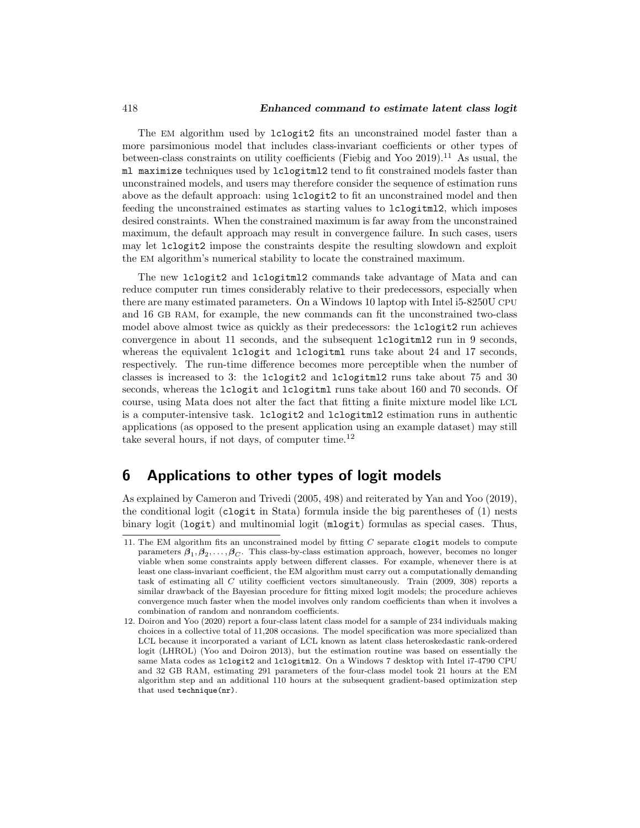The EM algorithm used by lclogit2 fits an unconstrained model faster than a more parsimonious model that includes class-invariant coefficients or other types of between-class constraints on utility coefficients (Fiebig and Yoo  $2019$ ).<sup>[11](#page-14-0)</sup> As usual, the ml maximize techniques used by lclogitml2 tend to fit constrained models faster than unconstrained models, and users may therefore consider the sequence of estimation runs above as the default approach: using lclogit2 to fit an unconstrained model and then feeding the unconstrained estimates as starting values to lclogitml2, which imposes desired constraints. When the constrained maximum is far away from the unconstrained maximum, the default approach may result in convergence failure. In such cases, users may let lclogit2 impose the constraints despite the resulting slowdown and exploit the EM algorithm's numerical stability to locate the constrained maximum.

The new lclogit2 and lclogitml2 commands take advantage of Mata and can reduce computer run times considerably relative to their predecessors, especially when there are many estimated parameters. On a Windows 10 laptop with Intel i5-8250U CPU and 16 GB RAM, for example, the new commands can fit the unconstrained two-class model above almost twice as quickly as their predecessors: the lclogit2 run achieves convergence in about 11 seconds, and the subsequent lclogitml2 run in 9 seconds, whereas the equivalent lclogit and lclogitml runs take about 24 and 17 seconds, respectively. The run-time difference becomes more perceptible when the number of classes is increased to 3: the lclogit2 and lclogitml2 runs take about 75 and 30 seconds, whereas the lclogit and lclogitml runs take about 160 and 70 seconds. Of course, using Mata does not alter the fact that fitting a finite mixture model like LCL is a computer-intensive task. Lologit2 and lologitml2 estimation runs in authentic applications (as opposed to the present application using an example dataset) may still take several hours, if not days, of computer time.<sup>[12](#page-14-1)</sup>

### 6 Applications to other types of logit models

As explained by [Cameron and Trivedi](#page-19-5) [\(2005,](#page-19-5) 498) and reiterated by [Yan and Yoo](#page-20-9) [\(2019\)](#page-20-9), the conditional logit (clogit in Stata) formula inside the big parentheses of [\(1\)](#page-3-0) nests binary logit (logit) and multinomial logit (mlogit) formulas as special cases. Thus,

<span id="page-14-0"></span><sup>11.</sup> The EM algorithm fits an unconstrained model by fitting  $C$  separate clogit models to compute parameters  $\beta_1, \beta_2, \ldots, \beta_C$ . This class-by-class estimation approach, however, becomes no longer viable when some constraints apply between different classes. For example, whenever there is at least one class-invariant coefficient, the EM algorithm must carry out a computationally demanding task of estimating all C utility coefficient vectors simultaneously. [Train](#page-20-6) [\(2009,](#page-20-6) 308) reports a similar drawback of the Bayesian procedure for fitting mixed logit models; the procedure achieves convergence much faster when the model involves only random coefficients than when it involves a combination of random and nonrandom coefficients.

<span id="page-14-1"></span><sup>12.</sup> [Doiron and Yoo](#page-19-4) [\(2020\)](#page-19-4) report a four-class latent class model for a sample of 234 individuals making choices in a collective total of 11,208 occasions. The model specification was more specialized than LCL because it incorporated a variant of LCL known as latent class heteroskedastic rank-ordered logit (LHROL) [\(Yoo and Doiron 2013\)](#page-20-7), but the estimation routine was based on essentially the same Mata codes as lclogit2 and lclogitml2. On a Windows 7 desktop with Intel i7-4790 CPU and 32 GB RAM, estimating 291 parameters of the four-class model took 21 hours at the EM algorithm step and an additional 110 hours at the subsequent gradient-based optimization step that used technique(nr).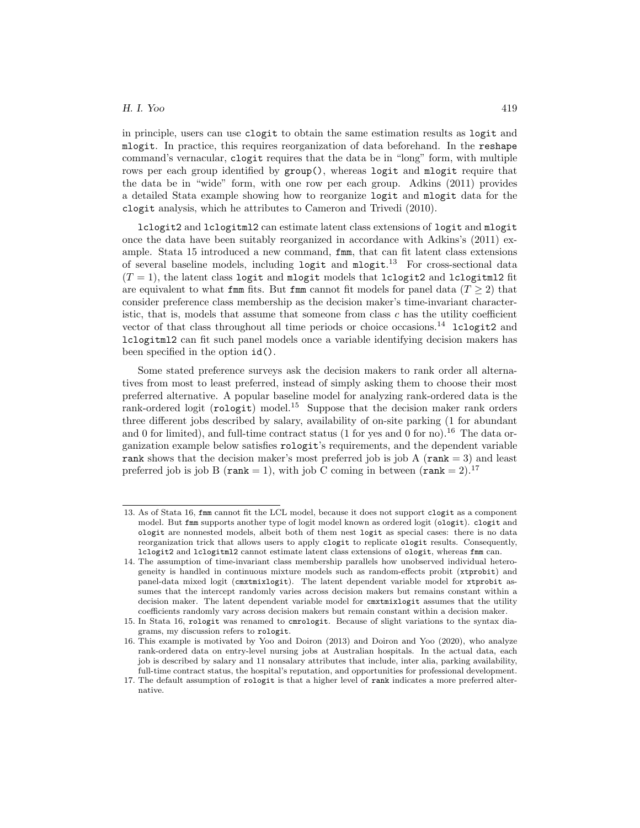in principle, users can use clogit to obtain the same estimation results as logit and mlogit. In practice, this requires reorganization of data beforehand. In the reshape command's vernacular, clogit requires that the data be in "long" form, with multiple rows per each group identified by  $\text{group}()$ , whereas logit and mlogit require that the data be in "wide" form, with one row per each group. [Adkins](#page-19-6) [\(2011\)](#page-19-6) provides a detailed Stata example showing how to reorganize logit and mlogit data for the clogit analysis, which he attributes to [Cameron and Trivedi](#page-19-7) [\(2010\)](#page-19-7).

lclogit2 and lclogitml2 can estimate latent class extensions of logit and mlogit once the data have been suitably reorganized in accordance with Adkins's [\(2011\)](#page-19-6) example. Stata 15 introduced a new command, fmm, that can fit latent class extensions of several baseline models, including logit and mlogit. [13](#page-15-0) For cross-sectional data  $(T = 1)$ , the latent class logit and mlogit models that lclogit2 and lclogitml2 fit are equivalent to what fmm fits. But fmm cannot fit models for panel data ( $T \geq 2$ ) that consider preference class membership as the decision maker's time-invariant characteristic, that is, models that assume that someone from class  $c$  has the utility coefficient vector of that class throughout all time periods or choice occasions.<sup>[14](#page-15-1)</sup> lclogit2 and lclogitml2 can fit such panel models once a variable identifying decision makers has been specified in the option id().

Some stated preference surveys ask the decision makers to rank order all alternatives from most to least preferred, instead of simply asking them to choose their most preferred alternative. A popular baseline model for analyzing rank-ordered data is the rank-ordered logit ( $\text{rologit}$ ) model.<sup>[15](#page-15-2)</sup> Suppose that the decision maker rank orders three different jobs described by salary, availability of on-site parking (1 for abundant and 0 for limited), and full-time contract status (1 for yes and 0 for no).<sup>[16](#page-15-3)</sup> The data organization example below satisfies rologit's requirements, and the dependent variable rank shows that the decision maker's most preferred job is job A ( $\text{rank} = 3$ ) and least preferred job is job B ( $\text{rank} = 1$ ), with job C coming in between ( $\text{rank} = 2$ ).<sup>[17](#page-15-4)</sup>

<span id="page-15-0"></span><sup>13.</sup> As of Stata 16, fmm cannot fit the LCL model, because it does not support clogit as a component model. But fmm supports another type of logit model known as ordered logit (ologit). clogit and ologit are nonnested models, albeit both of them nest logit as special cases: there is no data reorganization trick that allows users to apply clogit to replicate ologit results. Consequently, lclogit2 and lclogitml2 cannot estimate latent class extensions of ologit, whereas fmm can.

<span id="page-15-1"></span><sup>14.</sup> The assumption of time-invariant class membership parallels how unobserved individual heterogeneity is handled in continuous mixture models such as random-effects probit (xtprobit) and panel-data mixed logit (cmxtmixlogit). The latent dependent variable model for xtprobit assumes that the intercept randomly varies across decision makers but remains constant within a decision maker. The latent dependent variable model for cmxtmixlogit assumes that the utility coefficients randomly vary across decision makers but remain constant within a decision maker.

<span id="page-15-2"></span><sup>15.</sup> In Stata 16, rologit was renamed to cmrologit. Because of slight variations to the syntax diagrams, my discussion refers to rologit.

<span id="page-15-3"></span><sup>16.</sup> This example is motivated by [Yoo and Doiron](#page-20-7) [\(2013\)](#page-20-7) and [Doiron and Yoo](#page-19-4) [\(2020\)](#page-19-4), who analyze rank-ordered data on entry-level nursing jobs at Australian hospitals. In the actual data, each job is described by salary and 11 nonsalary attributes that include, inter alia, parking availability, full-time contract status, the hospital's reputation, and opportunities for professional development.

<span id="page-15-4"></span><sup>17.</sup> The default assumption of rologit is that a higher level of rank indicates a more preferred alternative.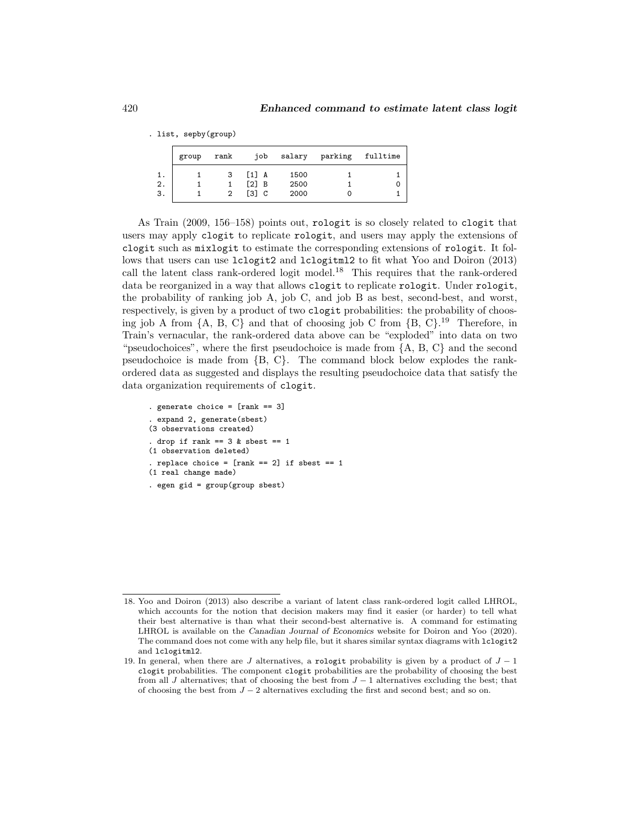|    | group | rank | job                 | salary | parking | fulltime |
|----|-------|------|---------------------|--------|---------|----------|
|    |       | 3    | $[1]$ A             | 1500   |         |          |
| 2. |       |      | $\lceil 2 \rceil$ B | 2500   |         |          |
| 3. |       |      | Г31 C               | 2000   |         |          |

As [Train](#page-20-6) [\(2009,](#page-20-6) 156–158) points out, rologit is so closely related to clogit that users may apply clogit to replicate rologit, and users may apply the extensions of clogit such as mixlogit to estimate the corresponding extensions of rologit. It follows that users can use lclogit2 and lclogitml2 to fit what [Yoo and Doiron](#page-20-7) [\(2013\)](#page-20-7) call the latent class rank-ordered logit model.[18](#page-16-0) This requires that the rank-ordered data be reorganized in a way that allows clogit to replicate rologit. Under rologit, the probability of ranking job A, job C, and job B as best, second-best, and worst, respectively, is given by a product of two clogit probabilities: the probability of choosing job A from  $\{A, B, C\}$  and that of choosing job C from  $\{B, C\}$ .<sup>[19](#page-16-1)</sup> Therefore, in Train's vernacular, the rank-ordered data above can be "exploded" into data on two "pseudochoices", where the first pseudochoice is made from {A, B, C} and the second pseudochoice is made from {B, C}. The command block below explodes the rankordered data as suggested and displays the resulting pseudochoice data that satisfy the data organization requirements of clogit.

```
. generate choice = [rank == 3]. expand 2, generate(sbest)
(3 observations created)
. drop if rank == 3 & sbest == 1(1 observation deleted)
. replace choice = [rank == 2] if sbest == 1
(1 real change made)
. egen gid = group(group sbest)
```
. list, sepby(group)

<span id="page-16-0"></span><sup>18.</sup> [Yoo and Doiron](#page-20-7) [\(2013\)](#page-20-7) also describe a variant of latent class rank-ordered logit called LHROL, which accounts for the notion that decision makers may find it easier (or harder) to tell what their best alternative is than what their second-best alternative is. A command for estimating LHROL is available on the Canadian Journal of Economics website for [Doiron and Yoo](#page-19-4) [\(2020\)](#page-19-4). The command does not come with any help file, but it shares similar syntax diagrams with lclogit2 and lclogitml2.

<span id="page-16-1"></span><sup>19.</sup> In general, when there are J alternatives, a rologit probability is given by a product of  $J - 1$ clogit probabilities. The component clogit probabilities are the probability of choosing the best from all J alternatives; that of choosing the best from  $J-1$  alternatives excluding the best; that of choosing the best from  $J - 2$  alternatives excluding the first and second best; and so on.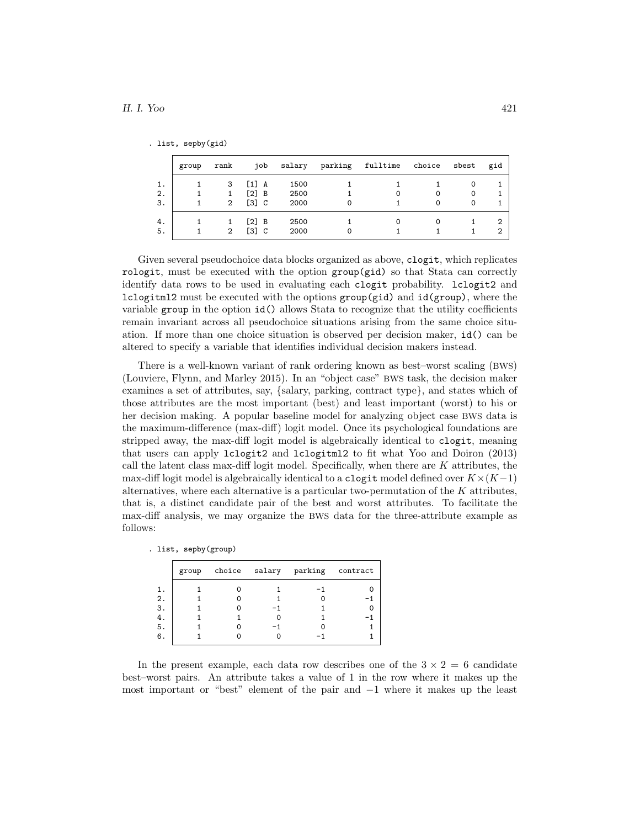|  | list, sepby(gid) |  |
|--|------------------|--|
|  |                  |  |

|    | group | rank           | job                                 | salary | parking | fulltime | choice   | sbest | gid |
|----|-------|----------------|-------------------------------------|--------|---------|----------|----------|-------|-----|
| 1. |       | 3              | $\begin{bmatrix} 1 \end{bmatrix}$ A | 1500   |         |          |          | 0     |     |
| 2. |       | 1              | [2] B                               | 2500   |         |          | $\Omega$ | 0     |     |
| 3. |       | $\overline{2}$ | [3] C                               | 2000   |         |          | 0        | 0     |     |
| 4. |       |                | $\lceil 2 \rceil$ B                 | 2500   |         |          | 0        |       | 2   |
| 5. |       | $\overline{2}$ | [3] C                               | 2000   |         |          |          |       | 2   |

Given several pseudochoice data blocks organized as above, clogit, which replicates rologit, must be executed with the option group(gid) so that Stata can correctly identify data rows to be used in evaluating each clogit probability. lclogit2 and lclogitml2 must be executed with the options  $group(gid)$  and  $id(group)$ , where the variable group in the option id() allows Stata to recognize that the utility coefficients remain invariant across all pseudochoice situations arising from the same choice situation. If more than one choice situation is observed per decision maker, id() can be altered to specify a variable that identifies individual decision makers instead.

There is a well-known variant of rank ordering known as best–worst scaling (BWS) [\(Louviere, Flynn, and Marley 2015\)](#page-20-10). In an "object case" BWS task, the decision maker examines a set of attributes, say, {salary, parking, contract type}, and states which of those attributes are the most important (best) and least important (worst) to his or her decision making. A popular baseline model for analyzing object case BWS data is the maximum-difference (max-diff) logit model. Once its psychological foundations are stripped away, the max-diff logit model is algebraically identical to clogit, meaning that users can apply lclogit2 and lclogitml2 to fit what [Yoo and Doiron](#page-20-7) [\(2013\)](#page-20-7) call the latent class max-diff logit model. Specifically, when there are  $K$  attributes, the max-diff logit model is algebraically identical to a clogit model defined over  $K\times (K-1)$ alternatives, where each alternative is a particular two-permutation of the  $K$  attributes, that is, a distinct candidate pair of the best and worst attributes. To facilitate the max-diff analysis, we may organize the BWS data for the three-attribute example as follows:

| list, sepby(group) |  |
|--------------------|--|
|--------------------|--|

|    | group |  | choice salary parking contract |  |
|----|-------|--|--------------------------------|--|
| 1. |       |  |                                |  |
| 2. |       |  |                                |  |
| З. |       |  |                                |  |
| 4. |       |  |                                |  |
| 5. |       |  |                                |  |
| 6. |       |  |                                |  |

In the present example, each data row describes one of the  $3 \times 2 = 6$  candidate best–worst pairs. An attribute takes a value of 1 in the row where it makes up the most important or "best" element of the pair and −1 where it makes up the least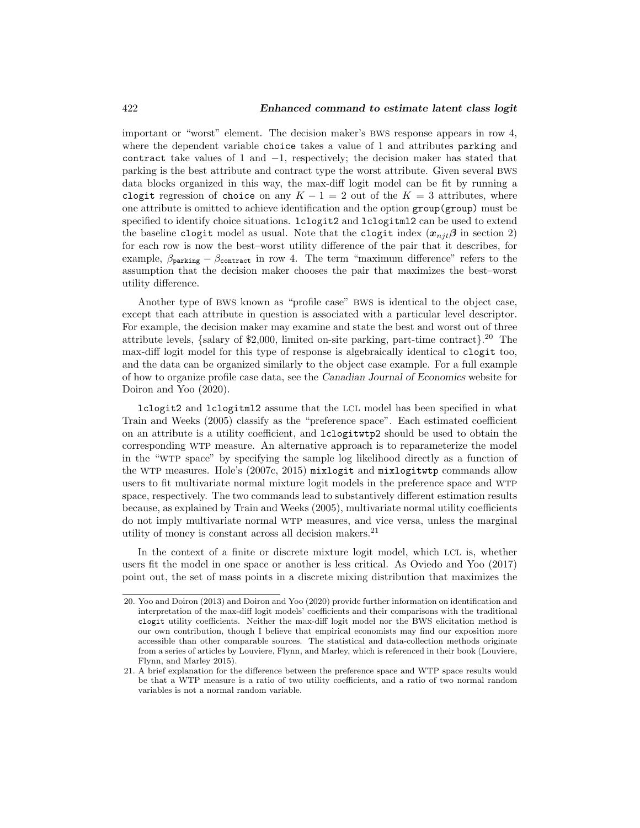important or "worst" element. The decision maker's BWS response appears in row 4, where the dependent variable choice takes a value of 1 and attributes parking and contract take values of 1 and  $-1$ , respectively; the decision maker has stated that parking is the best attribute and contract type the worst attribute. Given several BWS data blocks organized in this way, the max-diff logit model can be fit by running a clogit regression of choice on any  $K - 1 = 2$  out of the  $K = 3$  attributes, where one attribute is omitted to achieve identification and the option group(group) must be specified to identify choice situations. Loogit2 and Loogitml2 can be used to extend the baseline clogit model as usual. Note that the clogit index  $(x_{nji}\beta$  in section 2) for each row is now the best–worst utility difference of the pair that it describes, for example,  $\beta_{\text{parking}} - \beta_{\text{contrast}}$  in row 4. The term "maximum difference" refers to the assumption that the decision maker chooses the pair that maximizes the best–worst utility difference.

Another type of BWS known as "profile case" BWS is identical to the object case, except that each attribute in question is associated with a particular level descriptor. For example, the decision maker may examine and state the best and worst out of three attribute levels, {salary of \$2,000, limited on-site parking, part-time contract}. [20](#page-18-0) The max-diff logit model for this type of response is algebraically identical to clogit too, and the data can be organized similarly to the object case example. For a full example of how to organize profile case data, see the Canadian Journal of Economics website for [Doiron and Yoo](#page-19-4) [\(2020\)](#page-19-4).

lclogit2 and lclogitml2 assume that the LCL model has been specified in what [Train and Weeks](#page-20-11) [\(2005\)](#page-20-11) classify as the "preference space". Each estimated coefficient on an attribute is a utility coefficient, and lclogitwtp2 should be used to obtain the corresponding WTP measure. An alternative approach is to reparameterize the model in the "WTP space" by specifying the sample log likelihood directly as a function of the WTP measures. Hole's [\(2007c,](#page-20-2) [2015\)](#page-20-12) mixlogit and mixlogitwtp commands allow users to fit multivariate normal mixture logit models in the preference space and WTP space, respectively. The two commands lead to substantively different estimation results because, as explained by [Train and Weeks](#page-20-11) [\(2005\)](#page-20-11), multivariate normal utility coefficients do not imply multivariate normal WTP measures, and vice versa, unless the marginal utility of money is constant across all decision makers. $^{21}$  $^{21}$  $^{21}$ 

In the context of a finite or discrete mixture logit model, which LCL is, whether users fit the model in one space or another is less critical. As [Oviedo and Yoo](#page-20-5) [\(2017\)](#page-20-5) point out, the set of mass points in a discrete mixing distribution that maximizes the

<span id="page-18-0"></span><sup>20.</sup> [Yoo and Doiron](#page-20-7) [\(2013\)](#page-20-7) and [Doiron and Yoo](#page-19-4) [\(2020\)](#page-19-4) provide further information on identification and interpretation of the max-diff logit models' coefficients and their comparisons with the traditional clogit utility coefficients. Neither the max-diff logit model nor the BWS elicitation method is our own contribution, though I believe that empirical economists may find our exposition more accessible than other comparable sources. The statistical and data-collection methods originate from a series of articles by Louviere, Flynn, and Marley, which is referenced in their book [\(Louviere,](#page-20-10) [Flynn, and Marley 2015\)](#page-20-10).

<span id="page-18-1"></span><sup>21.</sup> A brief explanation for the difference between the preference space and WTP space results would be that a WTP measure is a ratio of two utility coefficients, and a ratio of two normal random variables is not a normal random variable.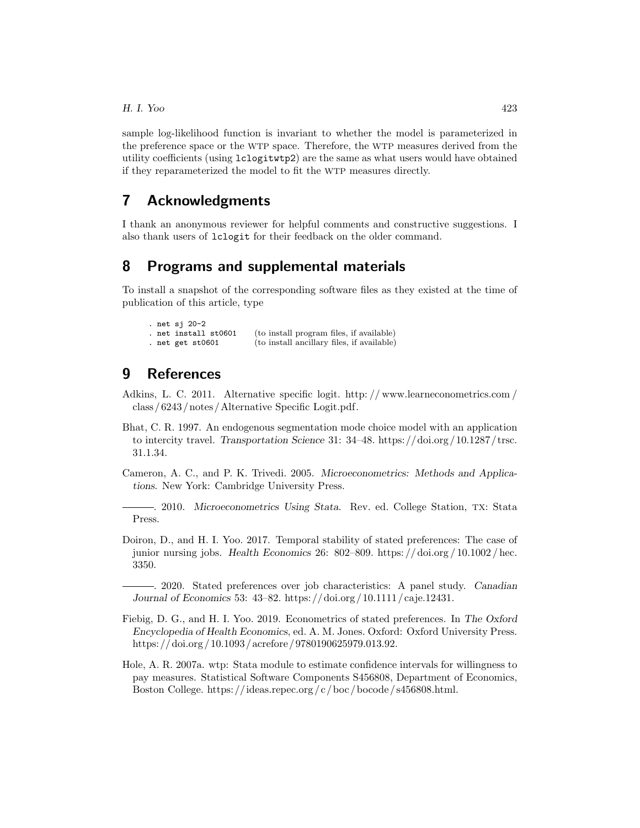sample log-likelihood function is invariant to whether the model is parameterized in the preference space or the WTP space. Therefore, the WTP measures derived from the utility coefficients (using lclogitwtp2) are the same as what users would have obtained if they reparameterized the model to fit the WTP measures directly.

## 7 Acknowledgments

I thank an anonymous reviewer for helpful comments and constructive suggestions. I also thank users of lclogit for their feedback on the older command.

## 8 Programs and supplemental materials

To install a snapshot of the corresponding software files as they existed at the time of publication of this article, type

```
. net sj 20-2<br>. net install st0601
                              (to install program files, if available)
. net get st0601 (to install ancillary files, if available)
```
# 9 References

- <span id="page-19-6"></span>Adkins, L. C. 2011. Alternative specific logit. [http: // www.learneconometrics.com /](http://www.learneconometrics.com/class/6243/notes/Alternative Specific Logit.pdf) [class / 6243 / notes /Alternative Specific Logit.pdf.](http://www.learneconometrics.com/class/6243/notes/Alternative Specific Logit.pdf)
- <span id="page-19-0"></span>Bhat, C. R. 1997. An endogenous segmentation mode choice model with an application to intercity travel. Transportation Science 31: 34–48. [https: //doi.org / 10.1287 / trsc.](https://doi.org/10.1287/trsc.31.1.34) [31.1.34.](https://doi.org/10.1287/trsc.31.1.34)
- <span id="page-19-5"></span>Cameron, A. C., and P. K. Trivedi. 2005. Microeconometrics: Methods and Applications. New York: Cambridge University Press.
- <span id="page-19-7"></span>. 2010. Microeconometrics Using Stata. Rev. ed. College Station, TX: Stata Press.
- <span id="page-19-3"></span>Doiron, D., and H. I. Yoo. 2017. Temporal stability of stated preferences: The case of junior nursing jobs. Health Economics 26: 802–809. [https: // doi.org / 10.1002 / hec.](https://doi.org/10.1002/hec.3350) [3350.](https://doi.org/10.1002/hec.3350)
	- . 2020. Stated preferences over job characteristics: A panel study. Canadian Journal of Economics 53: 43–82. [https: // doi.org / 10.1111 / caje.12431.](https://doi.org/10.1111/caje.12431)
- <span id="page-19-4"></span><span id="page-19-1"></span>Fiebig, D. G., and H. I. Yoo. 2019. Econometrics of stated preferences. In The Oxford Encyclopedia of Health Economics, ed. A. M. Jones. Oxford: Oxford University Press. https://doi.org/10.1093/acrefore/9780190625979.013.92.
- <span id="page-19-2"></span>Hole, A. R. 2007a. wtp: Stata module to estimate confidence intervals for willingness to pay measures. Statistical Software Components S456808, Department of Economics, Boston College. [https: //ideas.repec.org / c / boc / bocode / s456808.html.](https://ideas.repec.org/c/boc/bocode/s456808.html)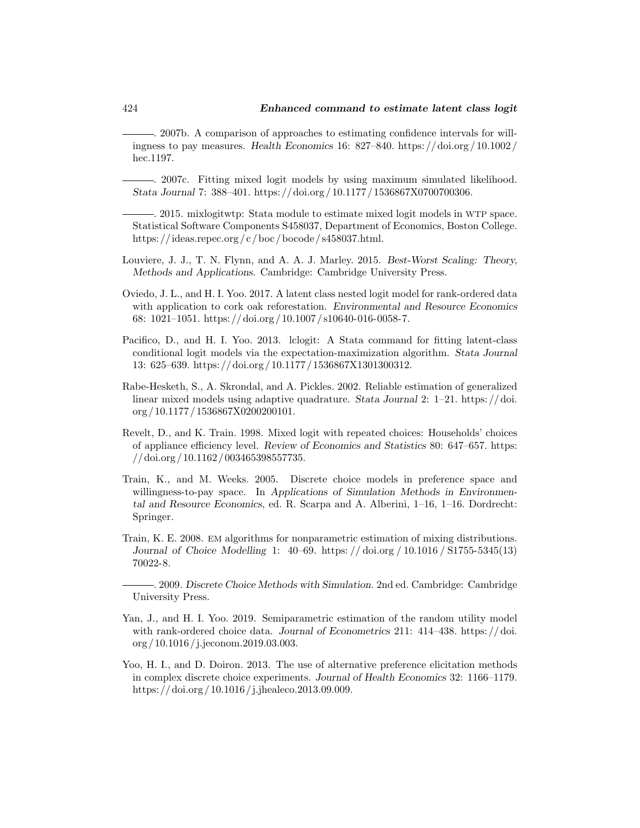<span id="page-20-8"></span>. 2007b. A comparison of approaches to estimating confidence intervals for willingness to pay measures. Health Economics 16: 827–840. [https: // doi.org / 10.1002 /](https://doi.org/10.1002/hec.1197) [hec.1197.](https://doi.org/10.1002/hec.1197)

<span id="page-20-2"></span><sup>2007</sup>. Fitting mixed logit models by using maximum simulated likelihood. Stata Journal 7: 388–401. [https: // doi.org / 10.1177 / 1536867X0700700306.](https://doi.org/10.1177/1536867X0700700306)

<span id="page-20-12"></span>. 2015. mixlogitwtp: Stata module to estimate mixed logit models in WTP space. Statistical Software Components S458037, Department of Economics, Boston College. [https: //ideas.repec.org / c / boc / bocode / s458037.html.](https://ideas.repec.org/c/boc/bocode/s458037.html)

- <span id="page-20-10"></span>Louviere, J. J., T. N. Flynn, and A. A. J. Marley. 2015. Best-Worst Scaling: Theory, Methods and Applications. Cambridge: Cambridge University Press.
- <span id="page-20-5"></span>Oviedo, J. L., and H. I. Yoo. 2017. A latent class nested logit model for rank-ordered data with application to cork oak reforestation. Environmental and Resource Economics 68: 1021–1051. [https: // doi.org / 10.1007 / s10640-016-0058-7.](https://doi.org/10.1007/s10640-016-0058-7)
- <span id="page-20-0"></span>Pacifico, D., and H. I. Yoo. 2013. lclogit: A Stata command for fitting latent-class conditional logit models via the expectation-maximization algorithm. Stata Journal 13: 625–639. [https: // doi.org / 10.1177 / 1536867X1301300312.](https://doi.org/10.1177/1536867X1301300312)
- <span id="page-20-3"></span>Rabe-Hesketh, S., A. Skrondal, and A. Pickles. 2002. Reliable estimation of generalized linear mixed models using adaptive quadrature. Stata Journal 2: 1–21. [https: // doi.](https://doi.org/10.1177/1536867X0200200101) [org / 10.1177 / 1536867X0200200101.](https://doi.org/10.1177/1536867X0200200101)
- <span id="page-20-4"></span>Revelt, D., and K. Train. 1998. Mixed logit with repeated choices: Households' choices of appliance efficiency level. Review of Economics and Statistics 80: 647–657. [https:](https://doi.org/10.1162/003465398557735) [// doi.org / 10.1162 / 003465398557735.](https://doi.org/10.1162/003465398557735)
- <span id="page-20-11"></span>Train, K., and M. Weeks. 2005. Discrete choice models in preference space and willingness-to-pay space. In Applications of Simulation Methods in Environmental and Resource Economics, ed. R. Scarpa and A. Alberini, 1–16, 1–16. Dordrecht: Springer.
- <span id="page-20-1"></span>Train, K. E. 2008. EM algorithms for nonparametric estimation of mixing distributions. Journal of Choice Modelling 1: 40–69. [https: // doi.org / 10.1016 / S1755-5345\(13\)](https://doi.org/10.1016/S1755-5345(13)70022-8) [70022-8.](https://doi.org/10.1016/S1755-5345(13)70022-8)

<span id="page-20-6"></span>. 2009. Discrete Choice Methods with Simulation. 2nd ed. Cambridge: Cambridge University Press.

- <span id="page-20-9"></span>Yan, J., and H. I. Yoo. 2019. Semiparametric estimation of the random utility model with rank-ordered choice data. Journal of Econometrics 211: 414–438. https://doi. [org / 10.1016 / j.jeconom.2019.03.003.](https://doi.org/10.1016/j.jeconom.2019.03.003)
- <span id="page-20-7"></span>Yoo, H. I., and D. Doiron. 2013. The use of alternative preference elicitation methods in complex discrete choice experiments. Journal of Health Economics 32: 1166–1179. [https: // doi.org / 10.1016 / j.jhealeco.2013.09.009.](https://doi.org/10.1016/j.jhealeco.2013.09.009)